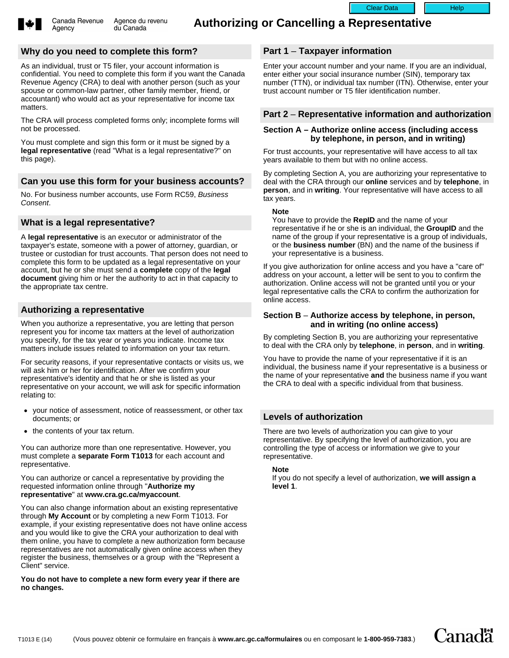

Agency

## **Why do you need to complete this form?**

As an individual, trust or T5 filer, your account information is confidential. You need to complete this form if you want the Canada Revenue Agency (CRA) to deal with another person (such as your spouse or common-law partner, other family member, friend, or accountant) who would act as your representative for income tax matters.

The CRA will process completed forms only; incomplete forms will not be processed.

You must complete and sign this form or it must be signed by a **legal representative** (read "What is a legal representative?" on this page).

# **Can you use this form for your business accounts?**

No. For business number accounts, use Form RC59, Business Consent.

# **What is a legal representative?**

A **legal representative** is an executor or administrator of the taxpayer's estate, someone with a power of attorney, guardian, or trustee or custodian for trust accounts. That person does not need to complete this form to be updated as a legal representative on your account, but he or she must send a **complete** copy of the **legal document** giving him or her the authority to act in that capacity to the appropriate tax centre.

## **Authorizing a representative**

When you authorize a representative, you are letting that person represent you for income tax matters at the level of authorization you specify, for the tax year or years you indicate. Income tax matters include issues related to information on your tax return.

For security reasons, if your representative contacts or visits us, we will ask him or her for identification. After we confirm your representative's identity and that he or she is listed as your representative on your account, we will ask for specific information relating to:

- your notice of assessment, notice of reassessment, or other tax documents; or
- the contents of your tax return.

You can authorize more than one representative. However, you must complete a **separate Form T1013** for each account and representative.

You can authorize or cancel a representative by providing the requested information online through "**Authorize my representative**" at **www.cra.gc.ca/myaccount**.

You can also change information about an existing representative through **My Account** or by completing a new Form T1013. For example, if your existing representative does not have online access and you would like to give the CRA your authorization to deal with them online, you have to complete a new authorization form because representatives are not automatically given online access when they register the business, themselves or a group with the "Represent a Client" service.

**You do not have to complete a new form every year if there are no changes.**

# **Part 1** – **Taxpayer information**

Enter your account number and your name. If you are an individual, enter either your social insurance number (SIN), temporary tax number (TTN), or individual tax number (ITN). Otherwise, enter your trust account number or T5 filer identification number.

Clear Data | Help

## **Part 2** – **Representative information and authorization**

### **Section A – Authorize online access (including access by telephone, in person, and in writing)**

For trust accounts, your representative will have access to all tax years available to them but with no online access.

By completing Section A, you are authorizing your representative to deal with the CRA through our **online** services and by **telephone**, in **person**, and in **writing**. Your representative will have access to all tax years.

#### **Note**

You have to provide the **RepID** and the name of your representative if he or she is an individual, the **GroupID** and the name of the group if your representative is a group of individuals, or the **business number** (BN) and the name of the business if your representative is a business.

If you give authorization for online access and you have a "care of" address on your account, a letter will be sent to you to confirm the authorization. Online access will not be granted until you or your legal representative calls the CRA to confirm the authorization for online access.

### **Section B** – **Authorize access by telephone, in person, and in writing (no online access)**

By completing Section B, you are authorizing your representative to deal with the CRA only by **telephone**, in **person**, and in **writing**.

You have to provide the name of your representative if it is an individual, the business name if your representative is a business or the name of your representative **and** the business name if you want the CRA to deal with a specific individual from that business.

## **Levels of authorization**

There are two levels of authorization you can give to your representative. By specifying the level of authorization, you are controlling the type of access or information we give to your representative.

### **Note**

If you do not specify a level of authorization, **we will assign a level 1**.

**Canadä**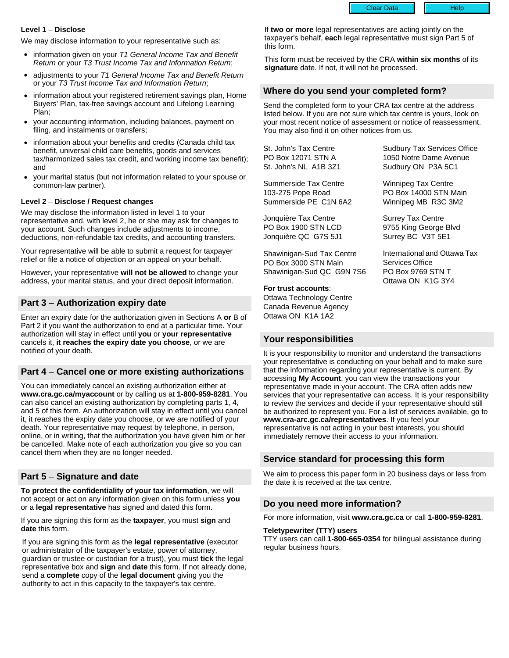Clear Data | Help

**Level 1** – **Disclose**

We may disclose information to your representative such as:

- information given on your T1 General Income Tax and Benefit Return or your T3 Trust Income Tax and Information Return;
- adjustments to your T1 General Income Tax and Benefit Return or your T3 Trust Income Tax and Information Return;
- information about your registered retirement savings plan, Home Buyers' Plan, tax-free savings account and Lifelong Learning Plan;
- your accounting information, including balances, payment on filing, and instalments or transfers;
- information about your benefits and credits (Canada child tax benefit, universal child care benefits, goods and services tax/harmonized sales tax credit, and working income tax benefit); and
- your marital status (but not information related to your spouse or common-law partner).

#### **Level 2** – **Disclose / Request changes**

We may disclose the information listed in level 1 to your representative and, with level 2, he or she may ask for changes to your account. Such changes include adjustments to income, deductions, non-refundable tax credits, and accounting transfers.

Your representative will be able to submit a request for taxpayer relief or file a notice of objection or an appeal on your behalf.

However, your representative **will not be allowed** to change your address, your marital status, and your direct deposit information.

### **Part 3** – **Authorization expiry date**

Enter an expiry date for the authorization given in Sections A **or** B of Part 2 if you want the authorization to end at a particular time. Your authorization will stay in effect until **you** or **your representative** cancels it, **it reaches the expiry date you choose**, or we are notified of your death.

### **Part 4** – **Cancel one or more existing authorizations**

You can immediately cancel an existing authorization either at **www.cra.gc.ca/myaccount** or by calling us at **1-800-959-8281**. You can also cancel an existing authorization by completing parts 1, 4, and 5 of this form. An authorization will stay in effect until you cancel it, it reaches the expiry date you choose, or we are notified of your death. Your representative may request by telephone, in person, online, or in writing, that the authorization you have given him or her be cancelled. Make note of each authorization you give so you can cancel them when they are no longer needed.

## **Part 5** – **Signature and date**

**To protect the confidentiality of your tax information**, we will not accept or act on any information given on this form unless **you** or a **legal representative** has signed and dated this form.

If you are signing this form as the **taxpayer**, you must **sign** and **date** this form.

If you are signing this form as the **legal representative** (executor or administrator of the taxpayer's estate, power of attorney, guardian or trustee or custodian for a trust), you must **tick** the legal representative box and **sign** and **date** this form. If not already done, send a **complete** copy of the **legal document** giving you the authority to act in this capacity to the taxpayer's tax centre.

If **two or more** legal representatives are acting jointly on the taxpayer's behalf, **each** legal representative must sign Part 5 of this form.

This form must be received by the CRA **within six months** of its **signature** date. If not, it will not be processed.

## **Where do you send your completed form?**

Send the completed form to your CRA tax centre at the address listed below. If you are not sure which tax centre is yours, look on your most recent notice of assessment or notice of reassessment. You may also find it on other notices from us.

St. John's Tax Centre PO Box 12071 STN A St. John's NL A1B 3Z1

Summerside Tax Centre 103-275 Pope Road Summerside PE C1N 6A2

Jonquière Tax Centre PO Box 1900 STN LCD Jonquière QC G7S 5J1

Shawinigan-Sud Tax Centre PO Box 3000 STN Main Shawinigan-Sud QC G9N 7S6

#### **For trust accounts**:

Ottawa Technology Centre Canada Revenue Agency Ottawa ON K1A 1A2

### **Your responsibilities**

It is your responsibility to monitor and understand the transactions your representative is conducting on your behalf and to make sure that the information regarding your representative is current. By accessing **My Account**, you can view the transactions your representative made in your account. The CRA often adds new services that your representative can access. It is your responsibility to review the services and decide if your representative should still be authorized to represent you. For a list of services available, go to **www.cra-arc.gc.ca/representatives**. If you feel your representative is not acting in your best interests, you should immediately remove their access to your information.

## **Service standard for processing this form**

We aim to process this paper form in 20 business days or less from the date it is received at the tax centre.

### **Do you need more information?**

For more information, visit **www.cra.gc.ca** or call **1-800-959-8281**.

### **Teletypewriter (TTY) users**

TTY users can call **1-800-665-0354** for bilingual assistance during regular business hours.

Surrey Tax Centre 9755 King George Blvd Surrey BC V3T 5E1

Sudbury Tax Services Office 1050 Notre Dame Avenue Sudbury ON P3A 5C1

Winnipeg Tax Centre PO Box 14000 STN Main Winnipeg MB R3C 3M2

International and Ottawa Tax Services Office PO Box 9769 STN T Ottawa ON K1G 3Y4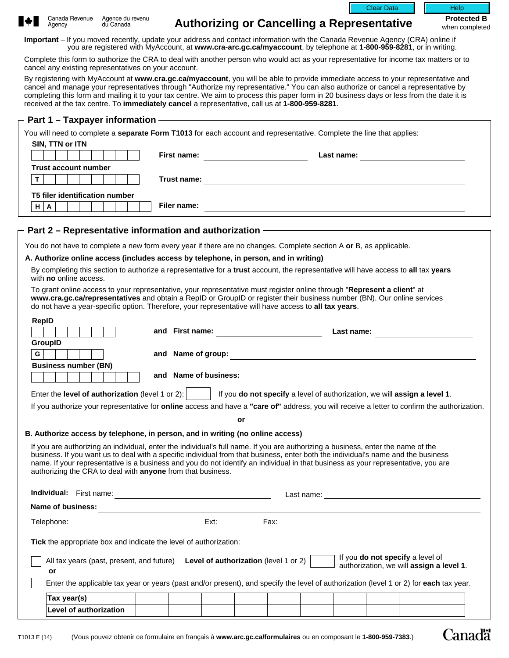



**Authorizing or Cancelling a Representative Protected B** 

when completed

Canadä

**Important** – If you moved recently, update your address and contact information with the Canada Revenue Agency (CRA) online if you are registered with MyAccount, at **www.cra-arc.gc.ca/myaccount**, by telephone at **1-800-959-8281**, or in writing.

Complete this form to authorize the CRA to deal with another person who would act as your representative for income tax matters or to cancel any existing representatives on your account.

By registering with MyAccount at **www.cra.gc.ca/myaccount**, you will be able to provide immediate access to your representative and cancel and manage your representatives through "Authorize my representative." You can also authorize or cancel a representative by completing this form and mailing it to your tax centre. We aim to process this paper form in 20 business days or less from the date it is received at the tax centre. To **immediately cancel** a representative, call us at **1-800-959-8281**.

| Part 1 - Taxpayer information – The Context of the Context of the Context of the Context of the Context of the                                                                                                                    |                    |                                                                                                                                                                                                                                                                                                                                                                                                            |
|-----------------------------------------------------------------------------------------------------------------------------------------------------------------------------------------------------------------------------------|--------------------|------------------------------------------------------------------------------------------------------------------------------------------------------------------------------------------------------------------------------------------------------------------------------------------------------------------------------------------------------------------------------------------------------------|
|                                                                                                                                                                                                                                   |                    | You will need to complete a separate Form T1013 for each account and representative. Complete the line that applies:                                                                                                                                                                                                                                                                                       |
| SIN, TTN or ITN                                                                                                                                                                                                                   | <b>First name:</b> | <u> 1990 - John Stone, mars and de la population de la population de la population de la population de la popula</u><br>Last name: <u>_________________________________</u>                                                                                                                                                                                                                                |
| <b>Trust account number</b>                                                                                                                                                                                                       |                    |                                                                                                                                                                                                                                                                                                                                                                                                            |
| $\mathbf T$                                                                                                                                                                                                                       | Trust name:        | <u> 1989 - Johann Barn, mars et al. 1989 - Anna ann an t-Anna ann an t-Anna ann an t-Anna ann an t-Anna ann an t-</u>                                                                                                                                                                                                                                                                                      |
| <b>T5 filer identification number</b>                                                                                                                                                                                             |                    |                                                                                                                                                                                                                                                                                                                                                                                                            |
| $H \mid A$                                                                                                                                                                                                                        | Filer name:        |                                                                                                                                                                                                                                                                                                                                                                                                            |
|                                                                                                                                                                                                                                   |                    | Part 2 - Representative information and authorization - The Context of the Context of the Part 2 - Representative                                                                                                                                                                                                                                                                                          |
|                                                                                                                                                                                                                                   |                    | You do not have to complete a new form every year if there are no changes. Complete section A or B, as applicable.                                                                                                                                                                                                                                                                                         |
| A. Authorize online access (includes access by telephone, in person, and in writing)                                                                                                                                              |                    |                                                                                                                                                                                                                                                                                                                                                                                                            |
| with no online access.                                                                                                                                                                                                            |                    | By completing this section to authorize a representative for a trust account, the representative will have access to all tax years                                                                                                                                                                                                                                                                         |
|                                                                                                                                                                                                                                   |                    | To grant online access to your representative, your representative must register online through "Represent a client" at<br>www.cra.gc.ca/representatives and obtain a RepID or GroupID or register their business number (BN). Our online services<br>do not have a year-specific option. Therefore, your representative will have access to all tax years.                                                |
| <b>RepID</b>                                                                                                                                                                                                                      |                    |                                                                                                                                                                                                                                                                                                                                                                                                            |
|                                                                                                                                                                                                                                   |                    | and First name: 1000 million contract to the contract of the contract of the contract of the contract of the contract of the contract of the contract of the contract of the contract of the contract of the contract of the c<br>Last name:                                                                                                                                                               |
| GroupID                                                                                                                                                                                                                           |                    |                                                                                                                                                                                                                                                                                                                                                                                                            |
| G                                                                                                                                                                                                                                 |                    |                                                                                                                                                                                                                                                                                                                                                                                                            |
| <b>Business number (BN)</b>                                                                                                                                                                                                       |                    |                                                                                                                                                                                                                                                                                                                                                                                                            |
|                                                                                                                                                                                                                                   |                    | and Name of business: <u>example and the set of the set of the set of the set of the set of the set of the set of the set of the set of the set of the set of the set of the set of the set of the set of the set of the set of </u>                                                                                                                                                                       |
|                                                                                                                                                                                                                                   |                    | Enter the level of authorization (level 1 or 2): $\boxed{\blacksquare}$ If you do not specify a level of authorization, we will assign a level 1.                                                                                                                                                                                                                                                          |
|                                                                                                                                                                                                                                   |                    | If you authorize your representative for online access and have a "care of" address, you will receive a letter to confirm the authorization.                                                                                                                                                                                                                                                               |
|                                                                                                                                                                                                                                   |                    | or                                                                                                                                                                                                                                                                                                                                                                                                         |
| B. Authorize access by telephone, in person, and in writing (no online access)                                                                                                                                                    |                    |                                                                                                                                                                                                                                                                                                                                                                                                            |
| authorizing the CRA to deal with anyone from that business.                                                                                                                                                                       |                    | If you are authorizing an individual, enter the individual's full name. If you are authorizing a business, enter the name of the<br>business. If you want us to deal with a specific individual from that business, enter both the individual's name and the business<br>name. If your representative is a business and you do not identify an individual in that business as your representative, you are |
|                                                                                                                                                                                                                                   |                    |                                                                                                                                                                                                                                                                                                                                                                                                            |
| Name of business:<br>The contract of business:<br>The contract of the contract of the contract of the contract of the contract of the contract of the contract of the contract of the contract of the contract of the contract of |                    |                                                                                                                                                                                                                                                                                                                                                                                                            |
|                                                                                                                                                                                                                                   |                    |                                                                                                                                                                                                                                                                                                                                                                                                            |
| <b>Tick</b> the appropriate box and indicate the level of authorization:                                                                                                                                                          |                    |                                                                                                                                                                                                                                                                                                                                                                                                            |
| All tax years (past, present, and future) Level of authorization (level 1 or 2)<br>or                                                                                                                                             |                    | If you do not specify a level of authorization, we will assign a level 1.<br>$\blacktriangledown$                                                                                                                                                                                                                                                                                                          |

Enter the applicable tax year or years (past and/or present), and specify the level of authorization (level 1 or 2) for **each** tax year.

| Tax year(s)                        |  |  |  |  |  |
|------------------------------------|--|--|--|--|--|
| <b>authorization</b><br>evel<br>ΩT |  |  |  |  |  |